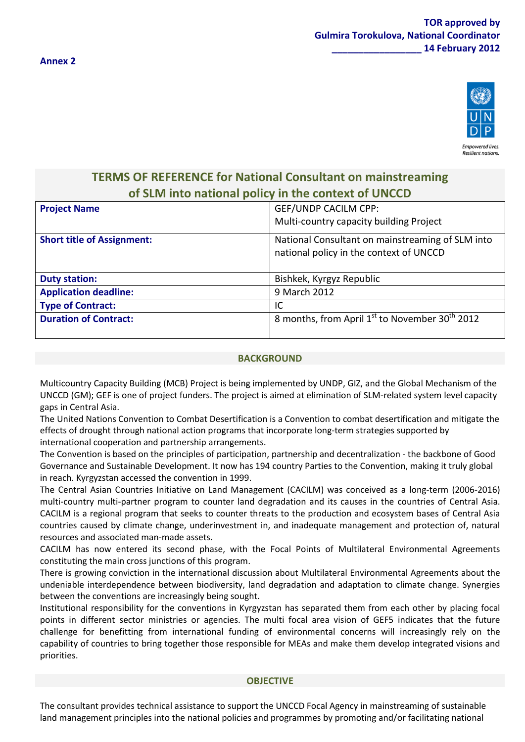

**TERMS OF REFERENCE for National Consultant on mainstreaming of SLM into national policy in the context of UNCCD**

| <b>Project Name</b>               | <b>GEF/UNDP CACILM CPP:</b>                                                                 |
|-----------------------------------|---------------------------------------------------------------------------------------------|
|                                   | Multi-country capacity building Project                                                     |
| <b>Short title of Assignment:</b> | National Consultant on mainstreaming of SLM into<br>national policy in the context of UNCCD |
| <b>Duty station:</b>              | Bishkek, Kyrgyz Republic                                                                    |
| <b>Application deadline:</b>      | 9 March 2012                                                                                |
| <b>Type of Contract:</b>          | IC                                                                                          |
| <b>Duration of Contract:</b>      | 8 months, from April 1 <sup>st</sup> to November 30 <sup>th</sup> 2012                      |

# **BACKGROUND**

Multicountry Capacity Building (MCB) Project is being implemented by UNDP, GIZ, and the Global Mechanism of the UNCCD (GM); GEF is one of project funders. The project is aimed at elimination of SLM-related system level capacity gaps in Central Asia.

The United Nations Convention to Combat Desertification is a Convention to combat [desertification](http://en.wikipedia.org/wiki/Desertification) and mitigate the effects of [drought](http://en.wikipedia.org/wiki/Drought) through national action programs that incorporate long-term strategies supported by international cooperation and partnership arrangements.

The Convention is based on the principles of participation, partnership and decentralization - the backbone o[f Good](http://en.wikipedia.org/wiki/Good_Governance)  [Governance](http://en.wikipedia.org/wiki/Good_Governance) and [Sustainable Development.](http://en.wikipedia.org/wiki/Sustainable_Development) It now has 194 country Parties to the Convention, making it truly global in reach. Kyrgyzstan accessed the convention in 1999.

The Central Asian Countries Initiative on Land Management (CACILM) was conceived as a long-term (2006-2016) multi-country multi-partner program to counter land degradation and its causes in the countries of Central Asia. CACILM is a regional program that seeks to counter threats to the production and ecosystem bases of Central Asia countries caused by climate change, underinvestment in, and inadequate management and protection of, natural resources and associated man-made assets.

CACILM has now entered its second phase, with the Focal Points of Multilateral Environmental Agreements constituting the main cross junctions of this program.

There is growing conviction in the international discussion about Multilateral Environmental Agreements about the undeniable interdependence between biodiversity, land degradation and adaptation to climate change. Synergies between the conventions are increasingly being sought.

Institutional responsibility for the conventions in Kyrgyzstan has separated them from each other by placing focal points in different sector ministries or agencies. The multi focal area vision of GEF5 indicates that the future challenge for benefitting from international funding of environmental concerns will increasingly rely on the capability of countries to bring together those responsible for MEAs and make them develop integrated visions and priorities.

# **OBJECTIVE**

The consultant provides technical assistance to support the UNCCD Focal Agency in mainstreaming of sustainable land management principles into the national policies and programmes by promoting and/or facilitating national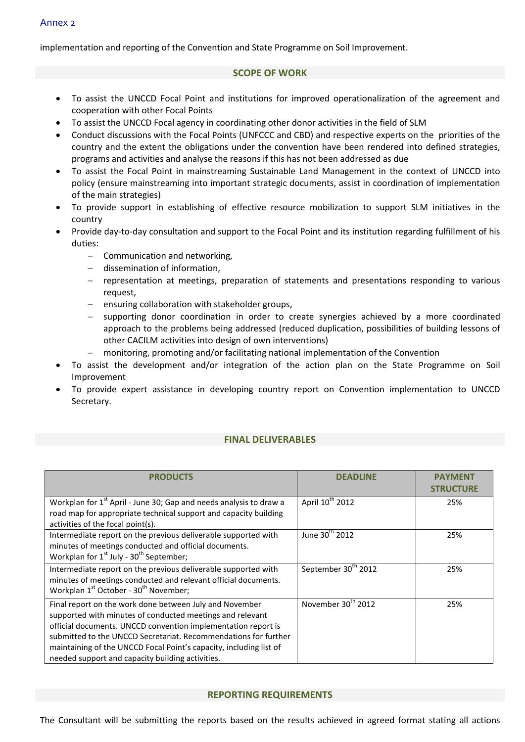implementation and reporting of the Convention and State Programme on Soil Improvement.

### **SCOPE OF WORK**

- To assist the UNCCD Focal Point and institutions for improved operationalization of the agreement and cooperation with other Focal Points
- To assist the UNCCD Focal agency in coordinating other donor activities in the field of SLM
- Conduct discussions with the Focal Points (UNFCCC and CBD) and respective experts on the priorities of the country and the extent the obligations under the convention have been rendered into defined strategies, programs and activities and analyse the reasons if this has not been addressed as due
- To assist the Focal Point in mainstreaming Sustainable Land Management in the context of UNCCD into policy (ensure mainstreaming into important strategic documents, assist in coordination of implementation of the main strategies)
- To provide support in establishing of effective resource mobilization to support SLM initiatives in the country
- Provide day-to-day consultation and support to the Focal Point and its institution regarding fulfillment of his duties:
	- − Communication and networking,
	- − dissemination of information,
	- − representation at meetings, preparation of statements and presentations responding to various request,
	- − ensuring collaboration with stakeholder groups,
	- supporting donor coordination in order to create synergies achieved by a more coordinated approach to the problems being addressed (reduced duplication, possibilities of building lessons of other CACILM activities into design of own interventions)
	- monitoring, promoting and/or facilitating national implementation of the Convention
- To assist the development and/or integration of the action plan on the State Programme on Soil Improvement
- To provide expert assistance in developing country report on Convention implementation to UNCCD Secretary.

#### **FINAL DELIVERABLES**

| <b>PRODUCTS</b>                                                                                                                                                                                                                                                                                                                                                                    | DEADI                           | <b>PAYMENT</b><br><b>STRUCTURE</b> |
|------------------------------------------------------------------------------------------------------------------------------------------------------------------------------------------------------------------------------------------------------------------------------------------------------------------------------------------------------------------------------------|---------------------------------|------------------------------------|
| Workplan for 1 <sup>st</sup> April - June 30; Gap and needs analysis to draw a<br>road map for appropriate technical support and capacity building<br>activities of the focal point(s).                                                                                                                                                                                            | April 10 <sup>th</sup> 2012     | 25%                                |
| Intermediate report on the previous deliverable supported with<br>minutes of meetings conducted and official documents.<br>Workplan for 1 <sup>st</sup> July - 30 <sup>th</sup> September;                                                                                                                                                                                         | June 30 <sup>th</sup> 2012      | 25%                                |
| Intermediate report on the previous deliverable supported with<br>minutes of meetings conducted and relevant official documents.<br>Workplan 1 <sup>st</sup> October - 30 <sup>th</sup> November;                                                                                                                                                                                  | September 30 <sup>th</sup> 2012 | 25%                                |
| Final report on the work done between July and November<br>supported with minutes of conducted meetings and relevant<br>official documents. UNCCD convention implementation report is<br>submitted to the UNCCD Secretariat. Recommendations for further<br>maintaining of the UNCCD Focal Point's capacity, including list of<br>needed support and capacity building activities. | November 30th 2012              | 25%                                |

#### **REPORTING REQUIREMENTS**

The Consultant will be submitting the reports based on the results achieved in agreed format stating all actions